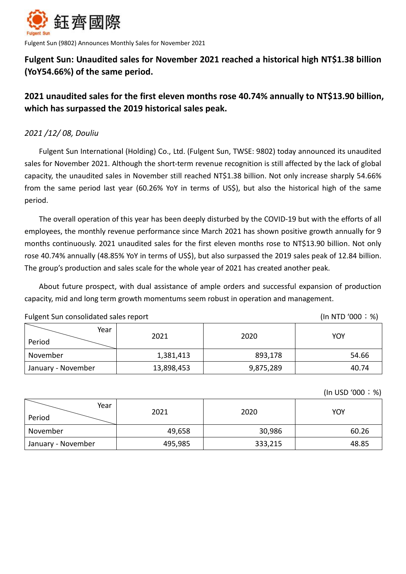

Fulgent Sun (9802) Announces Monthly Sales for November 2021

# **Fulgent Sun: Unaudited sales for November 2021 reached a historical high NT\$1.38 billion (YoY54.66%) of the same period.**

# **2021 unaudited sales for the first eleven months rose 40.74% annually to NT\$13.90 billion, which has surpassed the 2019 historical sales peak.**

### *2021 /12/ 08, Douliu*

Fulgent Sun International (Holding) Co., Ltd. (Fulgent Sun, TWSE: 9802) today announced its unaudited sales for November 2021. Although the short-term revenue recognition is still affected by the lack of global capacity, the unaudited sales in November still reached NT\$1.38 billion. Not only increase sharply 54.66% from the same period last year (60.26% YoY in terms of US\$), but also the historical high of the same period.

The overall operation of this year has been deeply disturbed by the COVID-19 but with the efforts of all employees, the monthly revenue performance since March 2021 has shown positive growth annually for 9 months continuously. 2021 unaudited sales for the first eleven months rose to NT\$13.90 billion. Not only rose 40.74% annually (48.85% YoY in terms of US\$), but also surpassed the 2019 sales peak of 12.84 billion. The group's production and sales scale for the whole year of 2021 has created another peak.

About future prospect, with dual assistance of ample orders and successful expansion of production capacity, mid and long term growth momentums seem robust in operation and management.

| Fulgent Sun consolidated sales report |  |
|---------------------------------------|--|
|---------------------------------------|--|

 $(In NTD '000; %)$ 

| Year<br>Period     | 2021       | 2020      | YOY   |
|--------------------|------------|-----------|-------|
| November           | 1,381,413  | 893,178   | 54.66 |
| January - November | 13,898,453 | 9,875,289 | 40.74 |

(In USD '000;%)

| Year<br>Period     | 2021    | 2020    | <b>YOY</b> |
|--------------------|---------|---------|------------|
| November           | 49,658  | 30,986  | 60.26      |
| January - November | 495,985 | 333,215 | 48.85      |